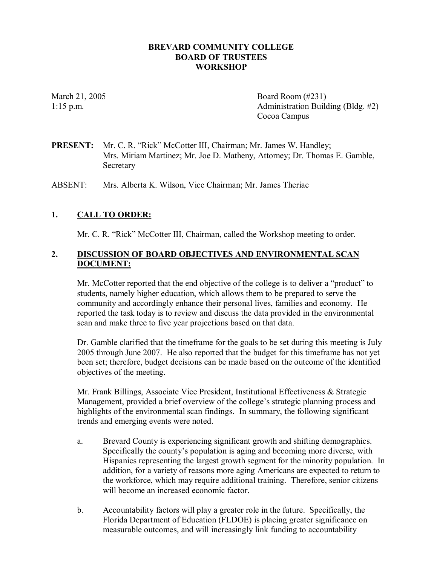#### **BREVARD COMMUNITY COLLEGE BOARD OF TRUSTEES WORKSHOP**

March 21, 2005 **Board Room** (#231) 1:15 p.m. Administration Building (Bldg. #2) Cocoa Campus

**PRESENT:** Mr. C. R. "Rick" McCotter III, Chairman; Mr. James W. Handley; Mrs. Miriam Martinez; Mr. Joe D. Matheny, Attorney; Dr. Thomas E. Gamble, Secretary

ABSENT: Mrs. Alberta K. Wilson, Vice Chairman; Mr. James Theriac

#### **1. CALL TO ORDER:**

Mr. C. R. "Rick" McCotter III, Chairman, called the Workshop meeting to order.

#### **2. DISCUSSION OF BOARD OBJECTIVES AND ENVIRONMENTAL SCAN DOCUMENT:**

Mr. McCotter reported that the end objective of the college is to deliver a "product" to students, namely higher education, which allows them to be prepared to serve the community and accordingly enhance their personal lives, families and economy. He reported the task today is to review and discuss the data provided in the environmental scan and make three to five year projections based on that data.

Dr. Gamble clarified that the timeframe for the goals to be set during this meeting is July 2005 through June 2007. He also reported that the budget for this timeframe has not yet been set; therefore, budget decisions can be made based on the outcome of the identified objectives of the meeting.

Mr. Frank Billings, Associate Vice President, Institutional Effectiveness & Strategic Management, provided a brief overview of the college's strategic planning process and highlights of the environmental scan findings. In summary, the following significant trends and emerging events were noted.

- a. Brevard County is experiencing significant growth and shifting demographics. Specifically the county's population is aging and becoming more diverse, with Hispanics representing the largest growth segment for the minority population. In addition, for a variety of reasons more aging Americans are expected to return to the workforce, which may require additional training. Therefore, senior citizens will become an increased economic factor.
- b. Accountability factors will play a greater role in the future. Specifically, the Florida Department of Education (FLDOE) is placing greater significance on measurable outcomes, and will increasingly link funding to accountability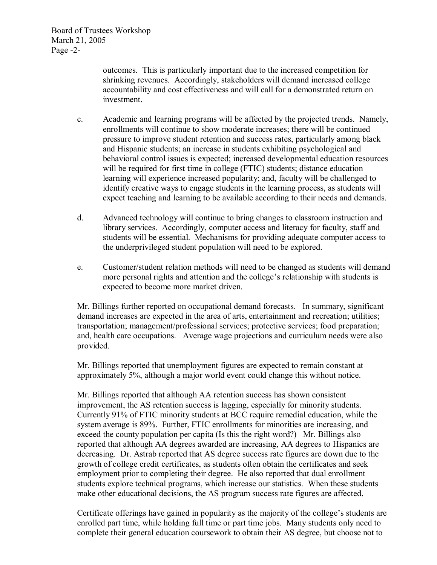outcomes. This is particularly important due to the increased competition for shrinking revenues. Accordingly, stakeholders will demand increased college accountability and cost effectiveness and will call for a demonstrated return on investment.

- c. Academic and learning programs will be affected by the projected trends. Namely, enrollments will continue to show moderate increases; there will be continued pressure to improve student retention and success rates, particularly among black and Hispanic students; an increase in students exhibiting psychological and behavioral control issues is expected; increased developmental education resources will be required for first time in college (FTIC) students; distance education learning will experience increased popularity; and, faculty will be challenged to identify creative ways to engage students in the learning process, as students will expect teaching and learning to be available according to their needs and demands.
- d. Advanced technology will continue to bring changes to classroom instruction and library services. Accordingly, computer access and literacy for faculty, staff and students will be essential. Mechanisms for providing adequate computer access to the underprivileged student population will need to be explored.
- e. Customer/student relation methods will need to be changed as students will demand more personal rights and attention and the college's relationship with students is expected to become more market driven.

Mr. Billings further reported on occupational demand forecasts. In summary, significant demand increases are expected in the area of arts, entertainment and recreation; utilities; transportation; management/professional services; protective services; food preparation; and, health care occupations. Average wage projections and curriculum needs were also provided.

Mr. Billings reported that unemployment figures are expected to remain constant at approximately 5%, although a major world event could change this without notice.

Mr. Billings reported that although AA retention success has shown consistent improvement, the AS retention success is lagging, especially for minority students. Currently 91% of FTIC minority students at BCC require remedial education, while the system average is 89%. Further, FTIC enrollments for minorities are increasing, and exceed the county population per capita (Is this the right word?) Mr. Billings also reported that although AA degrees awarded are increasing, AA degrees to Hispanics are decreasing. Dr. Astrab reported that AS degree success rate figures are down due to the growth of college credit certificates, as students often obtain the certificates and seek employment prior to completing their degree. He also reported that dual enrollment students explore technical programs, which increase our statistics. When these students make other educational decisions, the AS program success rate figures are affected.

Certificate offerings have gained in popularity as the majority of the college's students are enrolled part time, while holding full time or part time jobs. Many students only need to complete their general education coursework to obtain their AS degree, but choose not to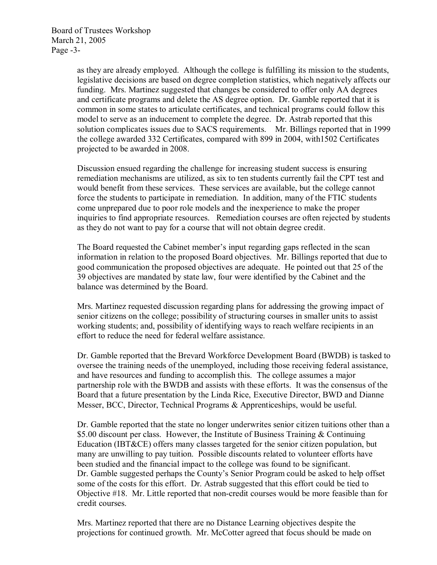Board of Trustees Workshop March 21, 2005 Page  $-3$ -

> as they are already employed. Although the college is fulfilling its mission to the students, legislative decisions are based on degree completion statistics, which negatively affects our funding. Mrs. Martinez suggested that changes be considered to offer only AA degrees and certificate programs and delete the AS degree option. Dr. Gamble reported that it is common in some states to articulate certificates, and technical programs could follow this model to serve as an inducement to complete the degree. Dr. Astrab reported that this solution complicates issues due to SACS requirements. Mr. Billings reported that in 1999 the college awarded 332 Certificates, compared with 899 in 2004, with1502 Certificates projected to be awarded in 2008.

> Discussion ensued regarding the challenge for increasing student success is ensuring remediation mechanisms are utilized, as six to ten students currently fail the CPT test and would benefit from these services. These services are available, but the college cannot force the students to participate in remediation. In addition, many of the FTIC students come unprepared due to poor role models and the inexperience to make the proper inquiries to find appropriate resources. Remediation courses are often rejected by students as they do not want to pay for a course that will not obtain degree credit.

The Board requested the Cabinet member's input regarding gaps reflected in the scan information in relation to the proposed Board objectives. Mr. Billings reported that due to good communication the proposed objectives are adequate. He pointed out that 25 of the 39 objectives are mandated by state law, four were identified by the Cabinet and the balance was determined by the Board.

Mrs. Martinez requested discussion regarding plans for addressing the growing impact of senior citizens on the college; possibility of structuring courses in smaller units to assist working students; and, possibility of identifying ways to reach welfare recipients in an effort to reduce the need for federal welfare assistance.

Dr. Gamble reported that the Brevard Workforce Development Board (BWDB) is tasked to oversee the training needs of the unemployed, including those receiving federal assistance, and have resources and funding to accomplish this. The college assumes a major partnership role with the BWDB and assists with these efforts. It was the consensus of the Board that a future presentation by the Linda Rice, Executive Director, BWD and Dianne Messer, BCC, Director, Technical Programs & Apprenticeships, would be useful.

Dr. Gamble reported that the state no longer underwrites senior citizen tuitions other than a \$5.00 discount per class. However, the Institute of Business Training & Continuing Education (IBT & CE) offers many classes targeted for the senior citizen population, but many are unwilling to pay tuition. Possible discounts related to volunteer efforts have been studied and the financial impact to the college was found to be significant. Dr. Gamble suggested perhaps the County's Senior Program could be asked to help offset some of the costs for this effort. Dr. Astrab suggested that this effort could be tied to Objective  $#18$ . Mr. Little reported that non-credit courses would be more feasible than for credit courses.

Mrs. Martinez reported that there are no Distance Learning objectives despite the projections for continued growth. Mr. McCotter agreed that focus should be made on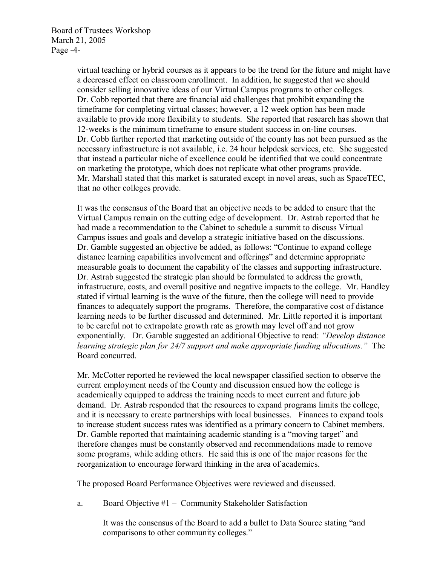Board of Trustees Workshop March 21, 2005 Page  $-4$ -

> virtual teaching or hybrid courses as it appears to be the trend for the future and might have a decreased effect on classroom enrollment. In addition, he suggested that we should consider selling innovative ideas of our Virtual Campus programs to other colleges. Dr. Cobb reported that there are financial aid challenges that prohibit expanding the timeframe for completing virtual classes; however, a 12 week option has been made available to provide more flexibility to students. She reported that research has shown that 12-weeks is the minimum timeframe to ensure student success in on-line courses. Dr. Cobb further reported that marketing outside of the county has not been pursued as the necessary infrastructure is not available, i.e. 24 hour helpdesk services, etc. She suggested that instead a particular niche of excellence could be identified that we could concentrate on marketing the prototype, which does not replicate what other programs provide. Mr. Marshall stated that this market is saturated except in novel areas, such as SpaceTEC, that no other colleges provide.

> It was the consensus of the Board that an objective needs to be added to ensure that the Virtual Campus remain on the cutting edge of development. Dr. Astrab reported that he had made a recommendation to the Cabinet to schedule a summit to discuss Virtual Campus issues and goals and develop a strategic initiative based on the discussions. Dr. Gamble suggested an objective be added, as follows: "Continue to expand college distance learning capabilities involvement and offerings" and determine appropriate measurable goals to document the capability of the classes and supporting infrastructure. Dr. Astrab suggested the strategic plan should be formulated to address the growth, infrastructure, costs, and overall positive and negative impacts to the college. Mr. Handley stated if virtual learning is the wave of the future, then the college will need to provide finances to adequately support the programs. Therefore, the comparative cost of distance learning needs to be further discussed and determined. Mr. Little reported it is important to be careful not to extrapolate growth rate as growth may level off and not grow exponentially. Dr. Gamble suggested an additional Objective to read: *"Develop distance learning strategic plan for 24/7 support and make appropriate funding allocations."* The Board concurred.

Mr. McCotter reported he reviewed the local newspaper classified section to observe the current employment needs of the County and discussion ensued how the college is academically equipped to address the training needs to meet current and future job demand. Dr. Astrab responded that the resources to expand programs limits the college, and it is necessary to create partnerships with local businesses. Finances to expand tools to increase student success rates was identified as a primary concern to Cabinet members. Dr. Gamble reported that maintaining academic standing is a "moving target" and therefore changes must be constantly observed and recommendations made to remove some programs, while adding others. He said this is one of the major reasons for the reorganization to encourage forward thinking in the area of academics.

The proposed Board Performance Objectives were reviewed and discussed.

a. Board Objective #1 – Community Stakeholder Satisfaction

It was the consensus of the Board to add a bullet to Data Source stating "and comparisons to other community colleges."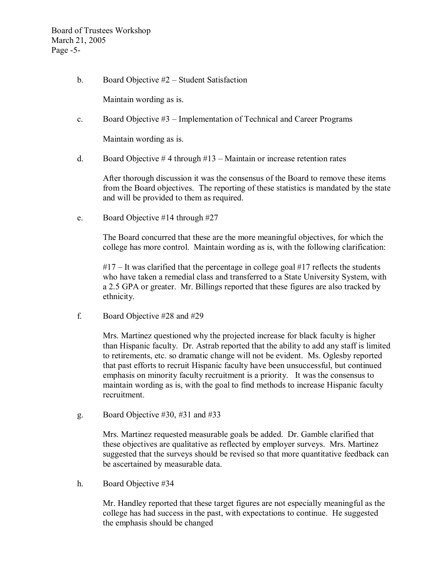Board of Trustees Workshop March 21, 2005 Page  $-5$ -

b. Board Objective #2 – Student Satisfaction

Maintain wording as is.

c. Board Objective #3 – Implementation of Technical and Career Programs

Maintain wording as is.

d. Board Objective  $# 4$  through  $#13 -$ Maintain or increase retention rates

After thorough discussion it was the consensus of the Board to remove these items from the Board objectives. The reporting of these statistics is mandated by the state and will be provided to them as required.

e. Board Objective #14 through #27

The Board concurred that these are the more meaningful objectives, for which the college has more control. Maintain wording as is, with the following clarification:

 $#17 -$  It was clarified that the percentage in college goal  $#17$  reflects the students who have taken a remedial class and transferred to a State University System, with a 2.5 GPA or greater. Mr. Billings reported that these figures are also tracked by ethnicity.

f. Board Objective #28 and #29

Mrs. Martinez questioned why the projected increase for black faculty is higher than Hispanic faculty. Dr. Astrab reported that the ability to add any staff is limited to retirements, etc. so dramatic change will not be evident. Ms. Oglesby reported that past efforts to recruit Hispanic faculty have been unsuccessful, but continued emphasis on minority faculty recruitment is a priority. It was the consensus to maintain wording as is, with the goal to find methods to increase Hispanic faculty recruitment.

g. Board Objective #30, #31 and #33

Mrs. Martinez requested measurable goals be added. Dr. Gamble clarified that these objectives are qualitative as reflected by employer surveys. Mrs. Martinez suggested that the surveys should be revised so that more quantitative feedback can be ascertained by measurable data.

h. Board Objective #34

Mr. Handley reported that these target figures are not especially meaningful as the college has had success in the past, with expectations to continue. He suggested the emphasis should be changed